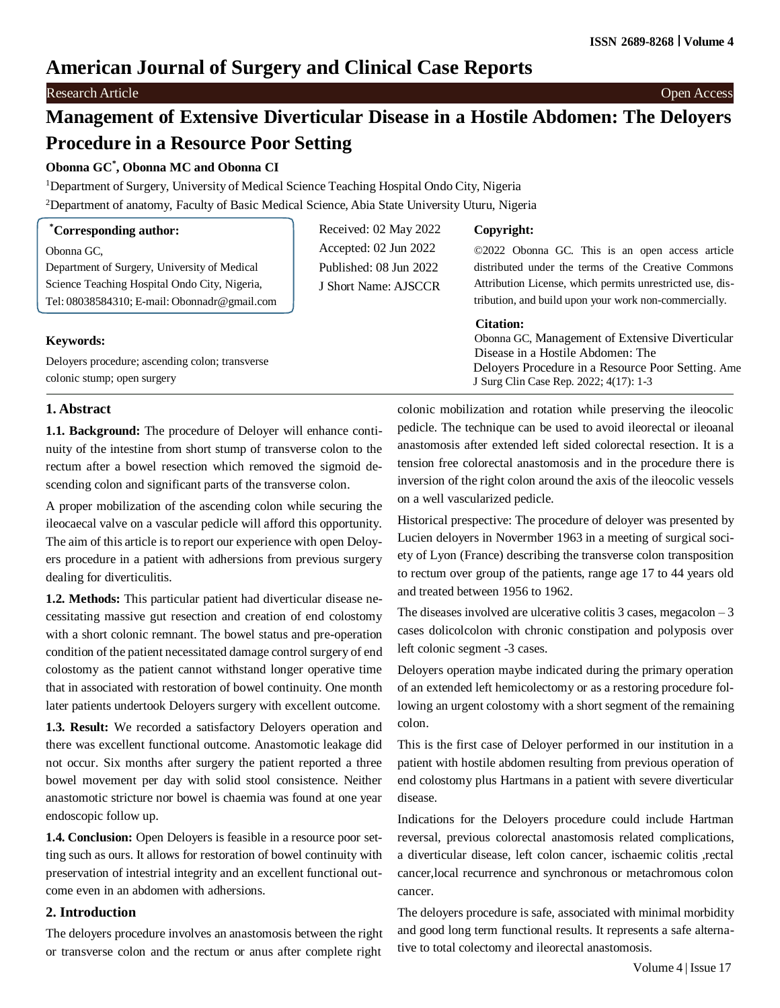# **American Journal of Surgery and Clinical Case Reports**

### Research Article Open Access

# **Management of Extensive Diverticular Disease in a Hostile Abdomen: The Deloyers Procedure in a Resource Poor Setting**

# **Obonna GC\* , Obonna MC and Obonna CI**

<sup>1</sup>Department of Surgery, University of Medical Science Teaching Hospital Ondo City, Nigeria

<sup>2</sup>Department of anatomy, Faculty of Basic Medical Science, Abia State University Uturu, Nigeria

| <i>Corresponding author:</i>                    | Received: 02 May 2022  | Copyright:                                                |
|-------------------------------------------------|------------------------|-----------------------------------------------------------|
| Obonna GC.                                      | Accepted: 02 Jun 2022  | ©2022 Obonna GC. This is an open access article           |
| Department of Surgery, University of Medical    | Published: 08 Jun 2022 | distributed under the terms of the Creative Commons       |
| Science Teaching Hospital Ondo City, Nigeria,   | J Short Name: AJSCCR   | Attribution License, which permits unrestricted use, dis- |
| Tel: $08038584310$ ; E-mail: Obonnadr@gmail.com |                        | tribution, and build upon your work non-commercially.     |
|                                                 |                        | <b>Citation:</b>                                          |
| <b>Keywords:</b>                                |                        | Obonna GC, Management of Extensive Diverticular           |
|                                                 |                        | Disease in a Hostile Abdomen: The                         |
| Deloyers procedure; ascending colon; transverse |                        | Deloyers Procedure in a Resource Poor Setting. Ame        |
| colonic stump; open surgery                     |                        | J Surg Clin Case Rep. 2022; 4(17): 1-3                    |

## **1. Abstract**

**1.1. Background:** The procedure of Deloyer will enhance continuity of the intestine from short stump of transverse colon to the rectum after a bowel resection which removed the sigmoid descending colon and significant parts of the transverse colon.

A proper mobilization of the ascending colon while securing the ileocaecal valve on a vascular pedicle will afford this opportunity. The aim of this article is to report our experience with open Deloyers procedure in a patient with adhersions from previous surgery dealing for diverticulitis.

**1.2. Methods:** This particular patient had diverticular disease necessitating massive gut resection and creation of end colostomy with a short colonic remnant. The bowel status and pre-operation condition of the patient necessitated damage control surgery of end colostomy as the patient cannot withstand longer operative time that in associated with restoration of bowel continuity. One month later patients undertook Deloyers surgery with excellent outcome.

**1.3. Result:** We recorded a satisfactory Deloyers operation and there was excellent functional outcome. Anastomotic leakage did not occur. Six months after surgery the patient reported a three bowel movement per day with solid stool consistence. Neither anastomotic stricture nor bowel is chaemia was found at one year endoscopic follow up.

**1.4. Conclusion:** Open Deloyers is feasible in a resource poor setting such as ours. It allows for restoration of bowel continuity with preservation of intestrial integrity and an excellent functional outcome even in an abdomen with adhersions.

#### **2. Introduction**

The deloyers procedure involves an anastomosis between the right or transverse colon and the rectum or anus after complete right

colonic mobilization and rotation while preserving the ileocolic pedicle. The technique can be used to avoid ileorectal or ileoanal anastomosis after extended left sided colorectal resection. It is a tension free colorectal anastomosis and in the procedure there is inversion of the right colon around the axis of the ileocolic vessels on a well vascularized pedicle.

Historical prespective: The procedure of deloyer was presented by Lucien deloyers in Novermber 1963 in a meeting of surgical society of Lyon (France) describing the transverse colon transposition to rectum over group of the patients, range age 17 to 44 years old and treated between 1956 to 1962.

The diseases involved are ulcerative colitis  $3$  cases, megacolon  $-3$ cases dolicolcolon with chronic constipation and polyposis over left colonic segment -3 cases.

Deloyers operation maybe indicated during the primary operation of an extended left hemicolectomy or as a restoring procedure following an urgent colostomy with a short segment of the remaining colon.

This is the first case of Deloyer performed in our institution in a patient with hostile abdomen resulting from previous operation of end colostomy plus Hartmans in a patient with severe diverticular disease.

Indications for the Deloyers procedure could include Hartman reversal, previous colorectal anastomosis related complications, a diverticular disease, left colon cancer, ischaemic colitis ,rectal cancer,local recurrence and synchronous or metachromous colon cancer.

The deloyers procedure is safe, associated with minimal morbidity and good long term functional results. It represents a safe alternative to total colectomy and ileorectal anastomosis.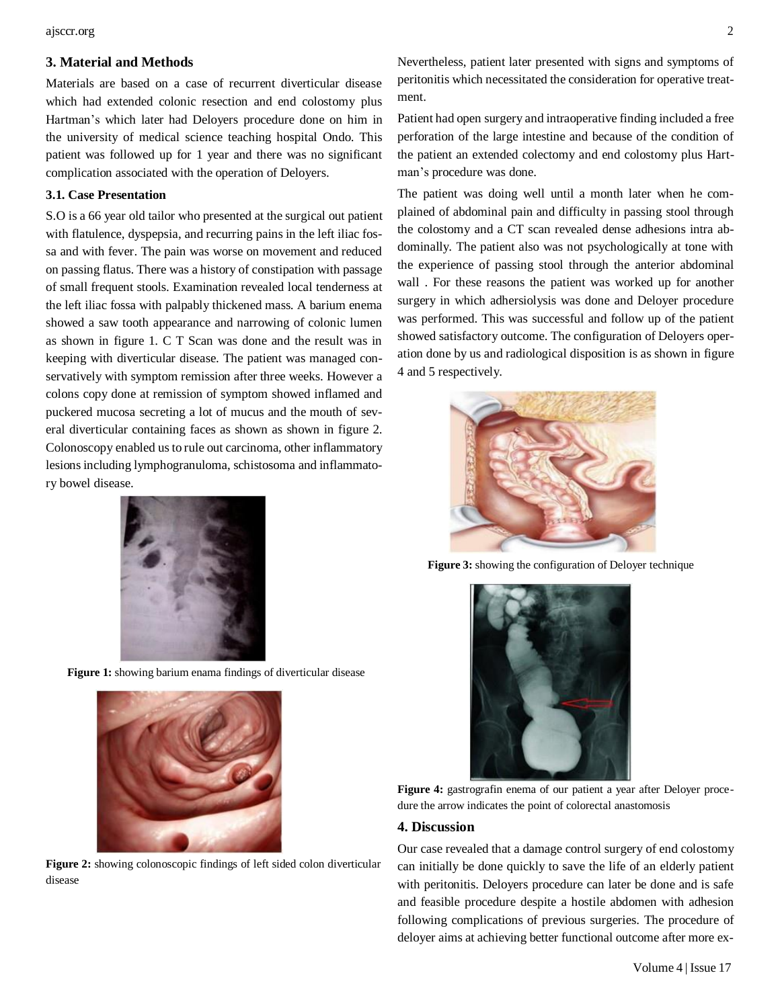ajsccr.org 2

## **3. Material and Methods**

Materials are based on a case of recurrent diverticular disease which had extended colonic resection and end colostomy plus Hartman's which later had Deloyers procedure done on him in the university of medical science teaching hospital Ondo. This patient was followed up for 1 year and there was no significant complication associated with the operation of Deloyers.

#### **3.1. Case Presentation**

S.O is a 66 year old tailor who presented at the surgical out patient with flatulence, dyspepsia, and recurring pains in the left iliac fossa and with fever. The pain was worse on movement and reduced on passing flatus. There was a history of constipation with passage of small frequent stools. Examination revealed local tenderness at the left iliac fossa with palpably thickened mass. A barium enema showed a saw tooth appearance and narrowing of colonic lumen as shown in figure 1. C T Scan was done and the result was in keeping with diverticular disease. The patient was managed conservatively with symptom remission after three weeks. However a colons copy done at remission of symptom showed inflamed and puckered mucosa secreting a lot of mucus and the mouth of several diverticular containing faces as shown as shown in figure 2. Colonoscopy enabled us to rule out carcinoma, other inflammatory lesions including lymphogranuloma, schistosoma and inflammatory bowel disease.



**Figure 1:** showing barium enama findings of diverticular disease



**Figure 2:** showing colonoscopic findings of left sided colon diverticular disease

Nevertheless, patient later presented with signs and symptoms of peritonitis which necessitated the consideration for operative treatment.

Patient had open surgery and intraoperative finding included a free perforation of the large intestine and because of the condition of the patient an extended colectomy and end colostomy plus Hartman's procedure was done.

The patient was doing well until a month later when he complained of abdominal pain and difficulty in passing stool through the colostomy and a CT scan revealed dense adhesions intra abdominally. The patient also was not psychologically at tone with the experience of passing stool through the anterior abdominal wall . For these reasons the patient was worked up for another surgery in which adhersiolysis was done and Deloyer procedure was performed. This was successful and follow up of the patient showed satisfactory outcome. The configuration of Deloyers operation done by us and radiological disposition is as shown in figure 4 and 5 respectively.



**Figure 3:** showing the configuration of Deloyer technique



Figure 4: gastrografin enema of our patient a year after Deloyer procedure the arrow indicates the point of colorectal anastomosis

#### **4. Discussion**

Our case revealed that a damage control surgery of end colostomy can initially be done quickly to save the life of an elderly patient with peritonitis. Deloyers procedure can later be done and is safe and feasible procedure despite a hostile abdomen with adhesion following complications of previous surgeries. The procedure of deloyer aims at achieving better functional outcome after more ex-